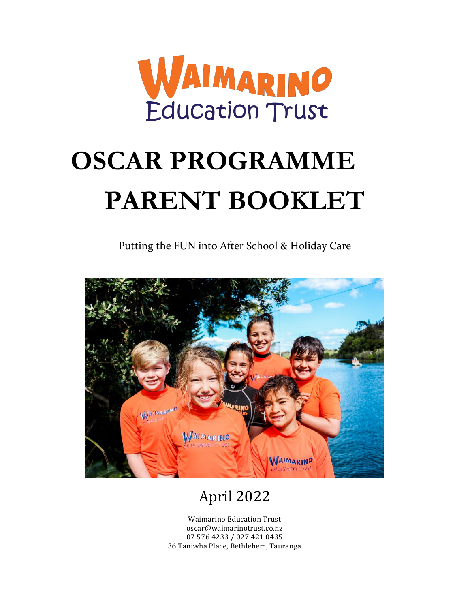

# **OSCAR PROGRAMME PARENT BOOKLET**

Putting the FUN into After School & Holiday Care



# April 2022

Waimarino Education Trust oscar@waimarinotrust.co.nz 07 576 4233 / 027 421 0435 36 Taniwha Place, Bethlehem, Tauranga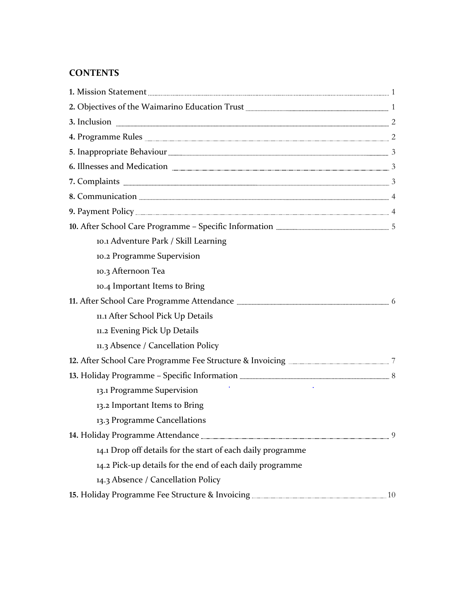# **CONTENTS**

| 2. Objectives of the Waimarino Education Trust <b>ELECTER CONSENSE ASSESS</b> 1                |  |
|------------------------------------------------------------------------------------------------|--|
|                                                                                                |  |
|                                                                                                |  |
|                                                                                                |  |
| 6. Illnesses and Medication <b>Election</b> 23                                                 |  |
| 7. Complaints <b>Election</b> 3                                                                |  |
|                                                                                                |  |
|                                                                                                |  |
|                                                                                                |  |
| 10.1 Adventure Park / Skill Learning                                                           |  |
| 10.2 Programme Supervision                                                                     |  |
| 10.3 Afternoon Tea                                                                             |  |
| 10.4 Important Items to Bring                                                                  |  |
|                                                                                                |  |
| 11.1 After School Pick Up Details                                                              |  |
| 11.2 Evening Pick Up Details                                                                   |  |
| 11.3 Absence / Cancellation Policy                                                             |  |
| 12. After School Care Programme Fee Structure & Invoicing <b>Election Controller Control</b> 7 |  |
|                                                                                                |  |
| 13.1 Programme Supervision                                                                     |  |
| 13.2 Important Items to Bring                                                                  |  |
| 13.3 Programme Cancellations                                                                   |  |
|                                                                                                |  |
| 14.1 Drop off details for the start of each daily programme                                    |  |
| 14.2 Pick-up details for the end of each daily programme                                       |  |
| 14.3 Absence / Cancellation Policy                                                             |  |
|                                                                                                |  |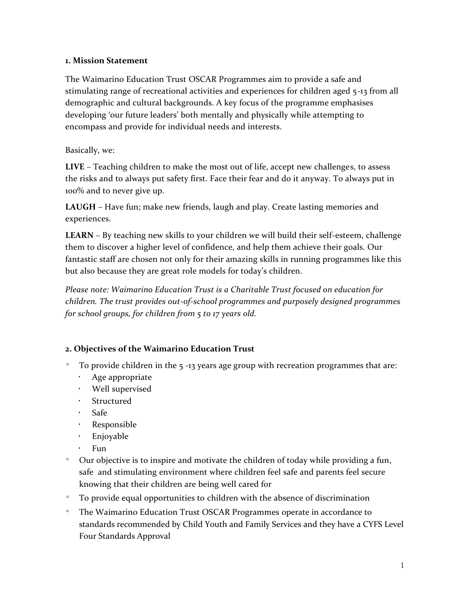### **1. Mission Statement**

The Waimarino Education Trust OSCAR Programmes aim to provide a safe and stimulating range of recreational activities and experiences for children aged 5-13 from all demographic and cultural backgrounds. A key focus of the programme emphasises developing 'our future leaders' both mentally and physically while attempting to encompass and provide for individual needs and interests.

# Basically, we:

**LIVE** – Teaching children to make the most out of life, accept new challenges, to assess the risks and to always put safety first. Face their fear and do it anyway. To always put in 100% and to never give up.

**LAUGH** – Have fun; make new friends, laugh and play. Create lasting memories and experiences.

**LEARN** – By teaching new skills to your children we will build their self-esteem, challenge them to discover a higher level of confidence, and help them achieve their goals. Our fantastic staff are chosen not only for their amazing skills in running programmes like this but also because they are great role models for today's children.

*Please note: Waimarino Education Trust is a Charitable Trust focused on education for children. The trust provides out-of-school programmes and purposely designed programmes for school groups, for children from 5 to 17 years old.*

# **2. Objectives of the Waimarino Education Trust**

- º To provide children in the 5 -13 years age group with recreation programmes that are:
	- Age appropriate
	- Well supervised
	- Structured
	- Safe
	- Responsible
	- Enjoyable
	- · Fun
- º Our objective is to inspire and motivate the children of today while providing a fun, safe and stimulating environment where children feel safe and parents feel secure knowing that their children are being well cared for
- º To provide equal opportunities to children with the absence of discrimination
- º The Waimarino Education Trust OSCAR Programmes operate in accordance to standards recommended by Child Youth and Family Services and they have a CYFS Level Four Standards Approval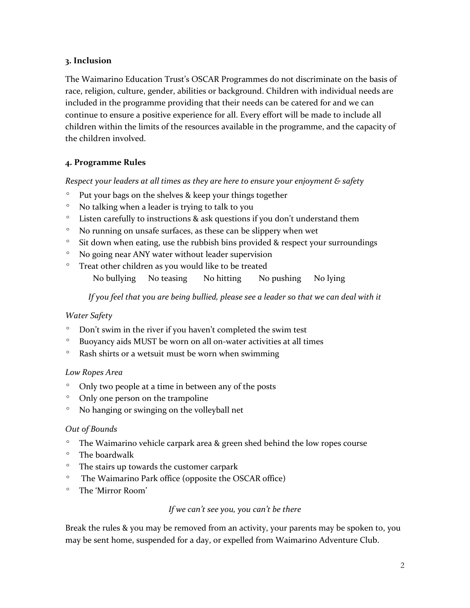#### **3. Inclusion**

The Waimarino Education Trust's OSCAR Programmes do not discriminate on the basis of race, religion, culture, gender, abilities or background. Children with individual needs are included in the programme providing that their needs can be catered for and we can continue to ensure a positive experience for all. Every effort will be made to include all children within the limits of the resources available in the programme, and the capacity of the children involved.

# **4. Programme Rules**

*Respect your leaders at all times as they are here to ensure your enjoyment & safety*

- º Put your bags on the shelves & keep your things together
- º No talking when a leader is trying to talk to you
- º Listen carefully to instructions & ask questions if you don't understand them
- º No running on unsafe surfaces, as these can be slippery when wet
- º Sit down when eating, use the rubbish bins provided & respect your surroundings
- º No going near ANY water without leader supervision
- º Treat other children as you would like to be treated

No bullying No teasing No hitting No pushing No lying

*If you feel that you are being bullied, please see a leader so that we can deal with it*

# *Water Safety*

- º Don't swim in the river if you haven't completed the swim test
- º Buoyancy aids MUST be worn on all on-water activities at all times
- º Rash shirts or a wetsuit must be worn when swimming

#### *Low Ropes Area*

- º Only two people at a time in between any of the posts
- º Only one person on the trampoline
- º No hanging or swinging on the volleyball net

# *Out of Bounds*

- º The Waimarino vehicle carpark area & green shed behind the low ropes course
- º The boardwalk
- º The stairs up towards the customer carpark
- º The Waimarino Park office (opposite the OSCAR office)
- º The 'Mirror Room'

#### *If we can't see you, you can't be there*

Break the rules & you may be removed from an activity, your parents may be spoken to, you may be sent home, suspended for a day, or expelled from Waimarino Adventure Club.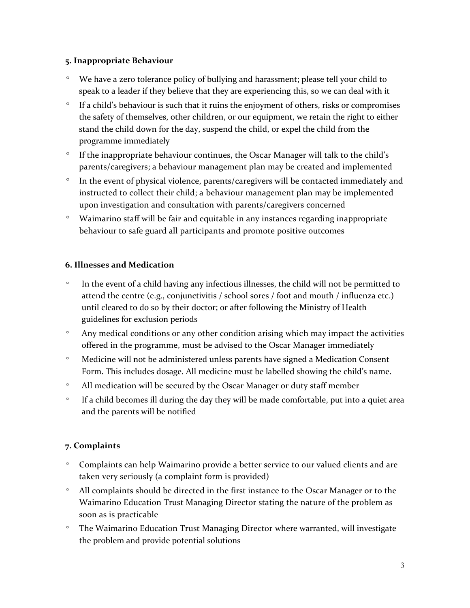### **5. Inappropriate Behaviour**

- º We have a zero tolerance policy of bullying and harassment; please tell your child to speak to a leader if they believe that they are experiencing this, so we can deal with it
- º If a child's behaviour is such that it ruins the enjoyment of others, risks or compromises the safety of themselves, other children, or our equipment, we retain the right to either stand the child down for the day, suspend the child, or expel the child from the programme immediately
- º If the inappropriate behaviour continues, the Oscar Manager will talk to the child's parents/caregivers; a behaviour management plan may be created and implemented
- º In the event of physical violence, parents/caregivers will be contacted immediately and instructed to collect their child; a behaviour management plan may be implemented upon investigation and consultation with parents/caregivers concerned
- º Waimarino staff will be fair and equitable in any instances regarding inappropriate behaviour to safe guard all participants and promote positive outcomes

# **6. Illnesses and Medication**

- º In the event of a child having any infectious illnesses, the child will not be permitted to attend the centre (e.g., conjunctivitis / school sores / foot and mouth / influenza etc.) until cleared to do so by their doctor; or after following the Ministry of Health guidelines for exclusion periods
- º Any medical conditions or any other condition arising which may impact the activities offered in the programme, must be advised to the Oscar Manager immediately
- º Medicine will not be administered unless parents have signed a Medication Consent Form. This includes dosage. All medicine must be labelled showing the child's name.
- º All medication will be secured by the Oscar Manager or duty staff member
- º If a child becomes ill during the day they will be made comfortable, put into a quiet area and the parents will be notified

# **7. Complaints**

- º Complaints can help Waimarino provide a better service to our valued clients and are taken very seriously (a complaint form is provided)
- º All complaints should be directed in the first instance to the Oscar Manager or to the Waimarino Education Trust Managing Director stating the nature of the problem as soon as is practicable
- º The Waimarino Education Trust Managing Director where warranted, will investigate the problem and provide potential solutions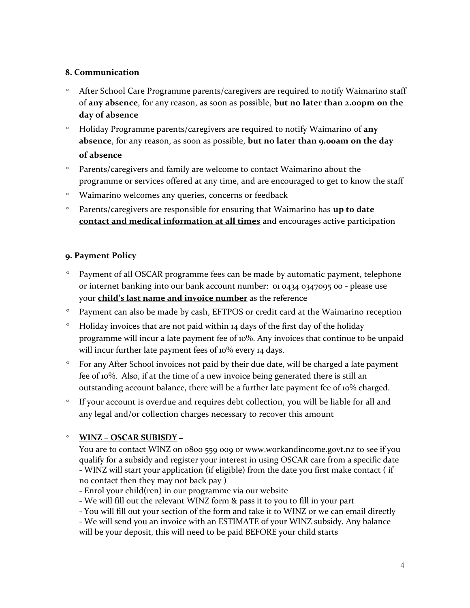#### **8. Communication**

- º After School Care Programme parents/caregivers are required to notify Waimarino staff of **any absence**, for any reason, as soon as possible, **but no later than 2.00pm on the day of absence**
- º Holiday Programme parents/caregivers are required to notify Waimarino of **any absence**, for any reason, as soon as possible, **but no later than 9.00am on the day of absence**
- º Parents/caregivers and family are welcome to contact Waimarino about the programme or services offered at any time, and are encouraged to get to know the staff
- º Waimarino welcomes any queries, concerns or feedback
- º Parents/caregivers are responsible for ensuring that Waimarino has **up to date contact and medical information at all times** and encourages active participation

# **9. Payment Policy**

- º Payment of all OSCAR programme fees can be made by automatic payment, telephone or internet banking into our bank account number: 01 0434 0347095 00 - please use your **child's last name and invoice number** as the reference
- º Payment can also be made by cash, EFTPOS or credit card at the Waimarino reception
- $\degree$  Holiday invoices that are not paid within 14 days of the first day of the holiday programme will incur a late payment fee of 10%. Any invoices that continue to be unpaid will incur further late payment fees of 10% every 14 days.
- º For any After School invoices not paid by their due date, will be charged a late payment fee of 10%. Also, if at the time of a new invoice being generated there is still an outstanding account balance, there will be a further late payment fee of 10% charged.
- º If your account is overdue and requires debt collection, you will be liable for all and any legal and/or collection charges necessary to recover this amount

# º **WINZ – OSCAR SUBISDY –**

You are to contact WINZ on 0800 559 009 or www.workandincome.govt.nz to see if you qualify for a subsidy and register your interest in using OSCAR care from a specific date - WINZ will start your application (if eligible) from the date you first make contact ( if no contact then they may not back pay )

- Enrol your child(ren) in our programme via our website
- We will fill out the relevant WINZ form & pass it to you to fill in your part
- You will fill out your section of the form and take it to WINZ or we can email directly

- We will send you an invoice with an ESTIMATE of your WINZ subsidy. Any balance will be your deposit, this will need to be paid BEFORE your child starts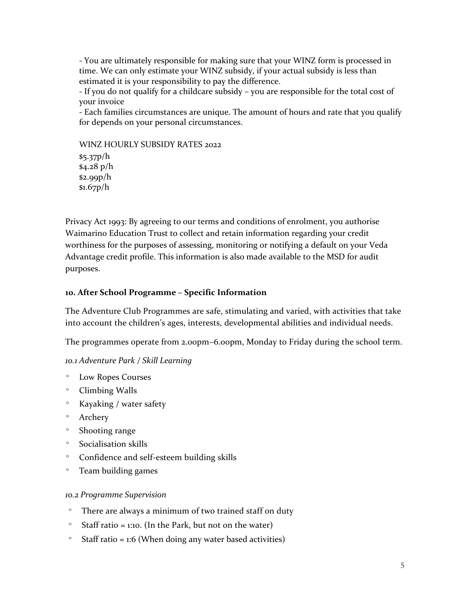- You are ultimately responsible for making sure that your WINZ form is processed in time. We can only estimate your WINZ subsidy, if your actual subsidy is less than estimated it is your responsibility to pay the difference.

- If you do not qualify for a childcare subsidy – you are responsible for the total cost of your invoice

- Each families circumstances are unique. The amount of hours and rate that you qualify for depends on your personal circumstances.

WINZ HOURLY SUBSIDY RATES 2022

\$5.37p/h \$4.28 p/h \$2.99p/h \$1.67p/h

Privacy Act 1993: By agreeing to our terms and conditions of enrolment, you authorise Waimarino Education Trust to collect and retain information regarding your credit worthiness for the purposes of assessing, monitoring or notifying a default on your Veda Advantage credit profile. This information is also made available to the MSD for audit purposes.

# **10. After School Programme – Specific Information**

The Adventure Club Programmes are safe, stimulating and varied, with activities that take into account the children's ages, interests, developmental abilities and individual needs.

The programmes operate from 2.00pm–6.00pm, Monday to Friday during the school term.

# *10.1 Adventure Park / Skill Learning*

- º Low Ropes Courses
- º Climbing Walls
- º Kayaking / water safety
- º Archery
- º Shooting range
- º Socialisation skills
- º Confidence and self-esteem building skills
- º Team building games

# *10.2 Programme Supervision*

- º There are always a minimum of two trained staff on duty
- $\degree$  Staff ratio = 1:10. (In the Park, but not on the water)
- $\degree$  Staff ratio = 1:6 (When doing any water based activities)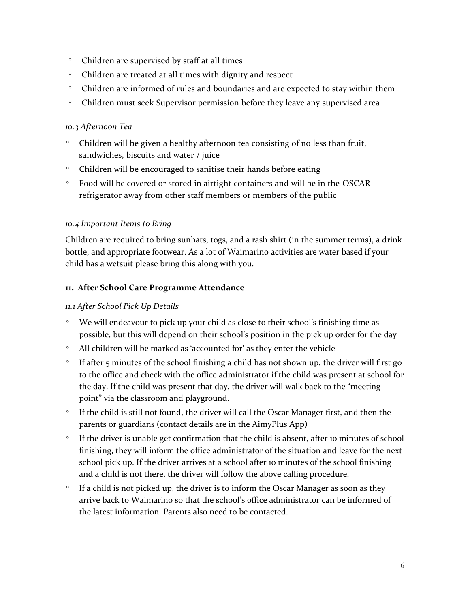- º Children are supervised by staff at all times
- º Children are treated at all times with dignity and respect
- º Children are informed of rules and boundaries and are expected to stay within them
- º Children must seek Supervisor permission before they leave any supervised area

#### *10.3 Afternoon Tea*

- º Children will be given a healthy afternoon tea consisting of no less than fruit, sandwiches, biscuits and water / juice
- º Children will be encouraged to sanitise their hands before eating
- º Food will be covered or stored in airtight containers and will be in the OSCAR refrigerator away from other staff members or members of the public

#### *10.4 Important Items to Bring*

Children are required to bring sunhats, togs, and a rash shirt (in the summer terms), a drink bottle, and appropriate footwear. As a lot of Waimarino activities are water based if your child has a wetsuit please bring this along with you.

#### **11. After School Care Programme Attendance**

#### *11.1 After School Pick Up Details*

- º We will endeavour to pick up your child as close to their school's finishing time as possible, but this will depend on their school's position in the pick up order for the day
- º All children will be marked as 'accounted for' as they enter the vehicle
- º If after 5 minutes of the school finishing a child has not shown up, the driver will first go to the office and check with the office administrator if the child was present at school for the day. If the child was present that day, the driver will walk back to the "meeting point" via the classroom and playground.
- If the child is still not found, the driver will call the Oscar Manager first, and then the parents or guardians (contact details are in the AimyPlus App)
- If the driver is unable get confirmation that the child is absent, after 10 minutes of school finishing, they will inform the office administrator of the situation and leave for the next school pick up. If the driver arrives at a school after 10 minutes of the school finishing and a child is not there, the driver will follow the above calling procedure.
- º If a child is not picked up, the driver is to inform the Oscar Manager as soon as they arrive back to Waimarino so that the school's office administrator can be informed of the latest information. Parents also need to be contacted.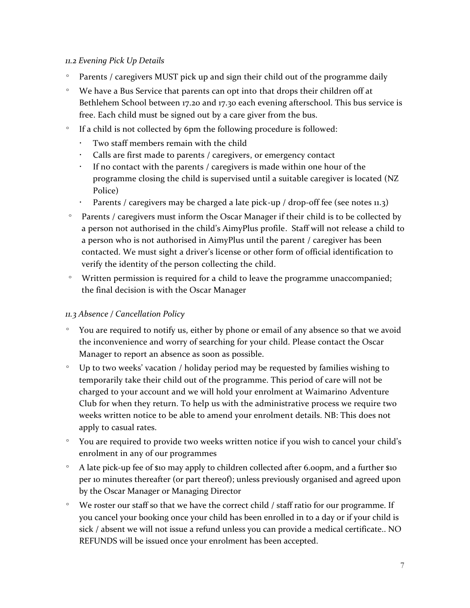#### *11.2 Evening Pick Up Details*

- º Parents / caregivers MUST pick up and sign their child out of the programme daily
- º We have a Bus Service that parents can opt into that drops their children off at Bethlehem School between 17.20 and 17.30 each evening afterschool. This bus service is free. Each child must be signed out by a care giver from the bus.
- º If a child is not collected by 6pm the following procedure is followed:
	- Two staff members remain with the child
	- Calls are first made to parents / caregivers, or emergency contact
	- If no contact with the parents / caregivers is made within one hour of the programme closing the child is supervised until a suitable caregiver is located (NZ Police)
	- Parents / caregivers may be charged a late pick-up / drop-off fee (see notes 11.3)
- º Parents / caregivers must inform the Oscar Manager if their child is to be collected by a person not authorised in the child's AimyPlus profile. Staff will not release a child to a person who is not authorised in AimyPlus until the parent / caregiver has been contacted. We must sight a driver's license or other form of official identification to verify the identity of the person collecting the child.
- º Written permission is required for a child to leave the programme unaccompanied; the final decision is with the Oscar Manager

# *11.3 Absence / Cancellation Policy*

- º You are required to notify us, either by phone or email of any absence so that we avoid the inconvenience and worry of searching for your child. Please contact the Oscar Manager to report an absence as soon as possible.
- º Up to two weeks' vacation / holiday period may be requested by families wishing to temporarily take their child out of the programme. This period of care will not be charged to your account and we will hold your enrolment at Waimarino Adventure Club for when they return. To help us with the administrative process we require two weeks written notice to be able to amend your enrolment details. NB: This does not apply to casual rates.
- º You are required to provide two weeks written notice if you wish to cancel your child's enrolment in any of our programmes
- º A late pick-up fee of \$10 may apply to children collected after 6.00pm, and a further \$10 per 10 minutes thereafter (or part thereof); unless previously organised and agreed upon by the Oscar Manager or Managing Director
- º We roster our staff so that we have the correct child / staff ratio for our programme. If you cancel your booking once your child has been enrolled in to a day or if your child is sick / absent we will not issue a refund unless you can provide a medical certificate.. NO REFUNDS will be issued once your enrolment has been accepted.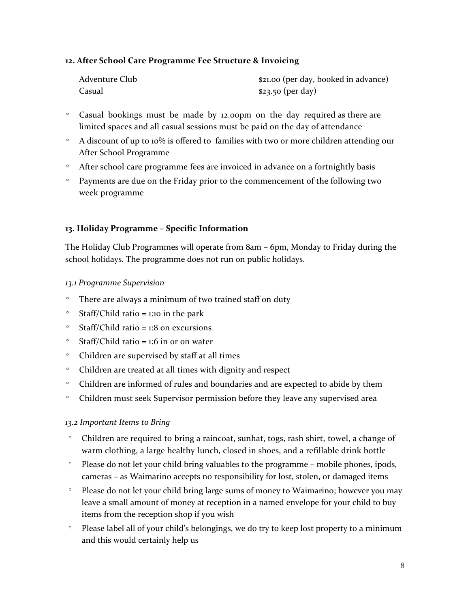#### **12. After School Care Programme Fee Structure & Invoicing**

| Adventure Club | \$21.00 (per day, booked in advance) |
|----------------|--------------------------------------|
| Casual         | $$23.50$ (per day)                   |

- º Casual bookings must be made by 12.00pm on the day required as there are limited spaces and all casual sessions must be paid on the day of attendance
- º A discount of up to 10% is offered to families with two or more children attending our After School Programme
- º After school care programme fees are invoiced in advance on a fortnightly basis
- º Payments are due on the Friday prior to the commencement of the following two week programme

#### **13. Holiday Programme – Specific Information**

The Holiday Club Programmes will operate from 8am – 6pm, Monday to Friday during the school holidays. The programme does not run on public holidays.

#### *13.1 Programme Supervision*

- º There are always a minimum of two trained staff on duty
- $\degree$  Staff/Child ratio = 1:10 in the park
- $\degree$  Staff/Child ratio = 1:8 on excursions
- $\degree$  Staff/Child ratio = 1:6 in or on water
- º Children are supervised by staff at all times
- º Children are treated at all times with dignity and respect
- º Children are informed of rules and boundaries and are expected to abide by them
- º Children must seek Supervisor permission before they leave any supervised area

#### *13.2 Important Items to Bring*

- º Children are required to bring a raincoat, sunhat, togs, rash shirt, towel, a change of warm clothing, a large healthy lunch, closed in shoes, and a refillable drink bottle
- º Please do not let your child bring valuables to the programme mobile phones, ipods, cameras – as Waimarino accepts no responsibility for lost, stolen, or damaged items
- º Please do not let your child bring large sums of money to Waimarino; however you may leave a small amount of money at reception in a named envelope for your child to buy items from the reception shop if you wish
- º Please label all of your child's belongings, we do try to keep lost property to a minimum and this would certainly help us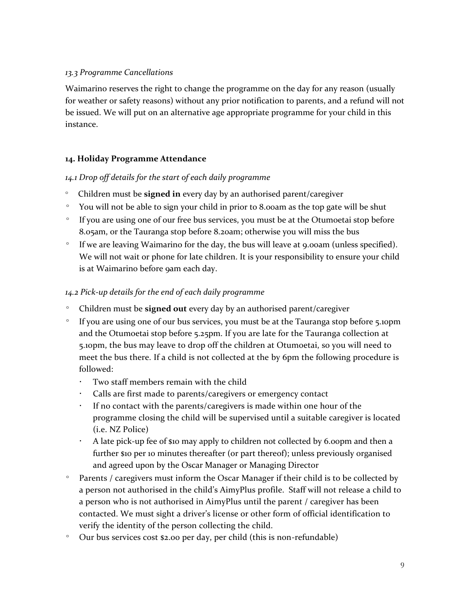### *13.3 Programme Cancellations*

Waimarino reserves the right to change the programme on the day for any reason (usually for weather or safety reasons) without any prior notification to parents, and a refund will not be issued. We will put on an alternative age appropriate programme for your child in this instance.

# **14. Holiday Programme Attendance**

#### *14.1 Drop off details for the start of each daily programme*

- º Children must be **signed in** every day by an authorised parent/caregiver
- º You will not be able to sign your child in prior to 8.00am as the top gate will be shut
- º If you are using one of our free bus services, you must be at the Otumoetai stop before 8.05am, or the Tauranga stop before 8.20am; otherwise you will miss the bus
- º If we are leaving Waimarino for the day, the bus will leave at 9.00am (unless specified). We will not wait or phone for late children. It is your responsibility to ensure your child is at Waimarino before 9am each day.

# *14.2 Pick-up details for the end of each daily programme*

- Children must be **signed out** every day by an authorised parent/caregiver
- º If you are using one of our bus services, you must be at the Tauranga stop before 5.10pm and the Otumoetai stop before 5.25pm. If you are late for the Tauranga collection at 5.10pm, the bus may leave to drop off the children at Otumoetai, so you will need to meet the bus there. If a child is not collected at the by 6pm the following procedure is followed:
	- Two staff members remain with the child
	- Calls are first made to parents/caregivers or emergency contact
	- If no contact with the parents/caregivers is made within one hour of the programme closing the child will be supervised until a suitable caregiver is located (i.e. NZ Police)
	- $\cdot$  A late pick-up fee of \$10 may apply to children not collected by 6.00pm and then a further \$10 per 10 minutes thereafter (or part thereof); unless previously organised and agreed upon by the Oscar Manager or Managing Director
- º Parents / caregivers must inform the Oscar Manager if their child is to be collected by a person not authorised in the child's AimyPlus profile. Staff will not release a child to a person who is not authorised in AimyPlus until the parent / caregiver has been contacted. We must sight a driver's license or other form of official identification to verify the identity of the person collecting the child.
- º Our bus services cost \$2.00 per day, per child (this is non-refundable)